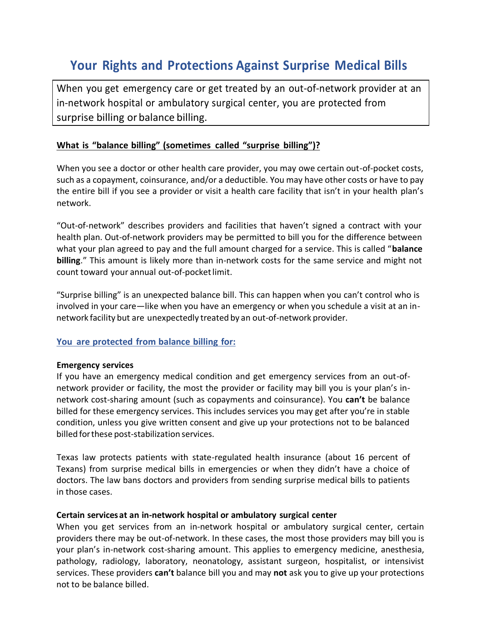# **Your Rights and Protections Against Surprise Medical Bills**

When you get emergency care or get treated by an out-of-network provider at an in-network hospital or ambulatory surgical center, you are protected from surprise billing or balance billing.

## **What is "balance billing" (sometimes called "surprise billing")?**

When you see a doctor or other health care provider, you may owe certain out-of-pocket costs, such as a copayment, coinsurance, and/or a deductible. You may have other costs or have to pay the entire bill if you see a provider or visit a health care facility that isn't in your health plan's network.

"Out-of-network" describes providers and facilities that haven't signed a contract with your health plan. Out-of-network providers may be permitted to bill you for the difference between what your plan agreed to pay and the full amount charged for a service. This is called "**balance billing**." This amount is likely more than in-network costs for the same service and might not count toward your annual out-of-pocketlimit.

"Surprise billing" is an unexpected balance bill. This can happen when you can't control who is involved in your care—like when you have an emergency or when you schedule a visit at an innetwork facility but are unexpectedly treated by an out-of-network provider.

### **You are protected from balance billing for:**

#### **Emergency services**

If you have an emergency medical condition and get emergency services from an out-ofnetwork provider or facility, the most the provider or facility may bill you is your plan's innetwork cost-sharing amount (such as copayments and coinsurance). You **can't** be balance billed for these emergency services. This includes services you may get after you're in stable condition, unless you give written consent and give up your protections not to be balanced billed forthese post-stabilization services.

Texas law protects patients with state-regulated health insurance (about 16 percent of Texans) from surprise medical bills in emergencies or when they didn't have a choice of doctors. The law bans doctors and providers from sending surprise medical bills to patients in those cases.

#### **Certain servicesat an in-network hospital or ambulatory surgical center**

When you get services from an in-network hospital or ambulatory surgical center, certain providers there may be out-of-network. In these cases, the most those providers may bill you is your plan's in-network cost-sharing amount. This applies to emergency medicine, anesthesia, pathology, radiology, laboratory, neonatology, assistant surgeon, hospitalist, or intensivist services. These providers **can't** balance bill you and may **not** ask you to give up your protections not to be balance billed.